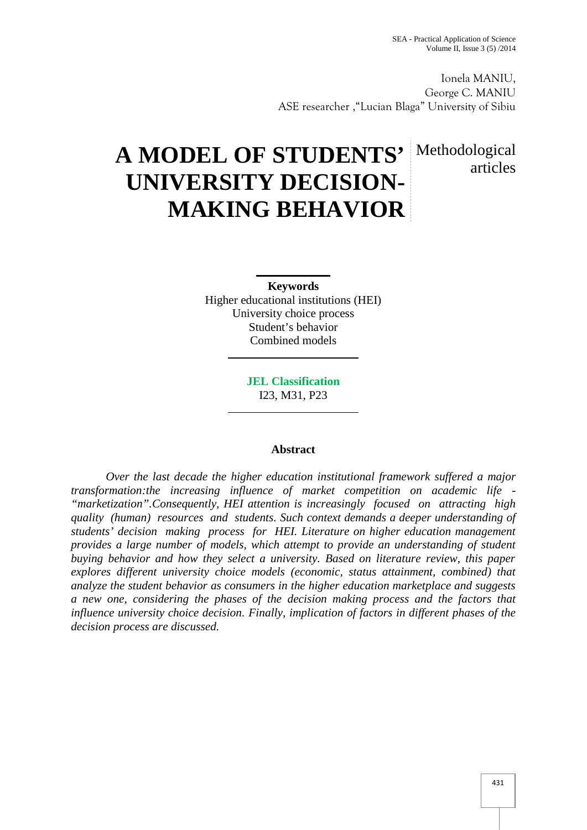articles

Ionela MANIU, George C. MANIU ASE researcher ,"Lucian Blaga" University of Sibiu

# **A MODEL OF STUDENTS'** Methodological **UNIVERSITY DECISION- MAKING BEHAVIOR**

**Keywords** Higher educational institutions (HEI) University choice process Student's behavior Combined models

> **JEL Classification** I23, M31, P23

## **Abstract**

*Over the last decade the higher education institutional framework suffered a major transformation:the increasing influence of market competition on academic life - "marketization".Consequently, HEI attention is increasingly focused on attracting high quality (human) resources and students. Such context demands a deeper understanding of students' decision making process for HEI. Literature on higher education management provides a large number of models, which attempt to provide an understanding of student buying behavior and how they select a university. Based on literature review, this paper explores different university choice models (economic, status attainment, combined) that analyze the student behavior as consumers in the higher education marketplace and suggests a new one, considering the phases of the decision making process and the factors that influence university choice decision. Finally, implication of factors in different phases of the decision process are discussed.*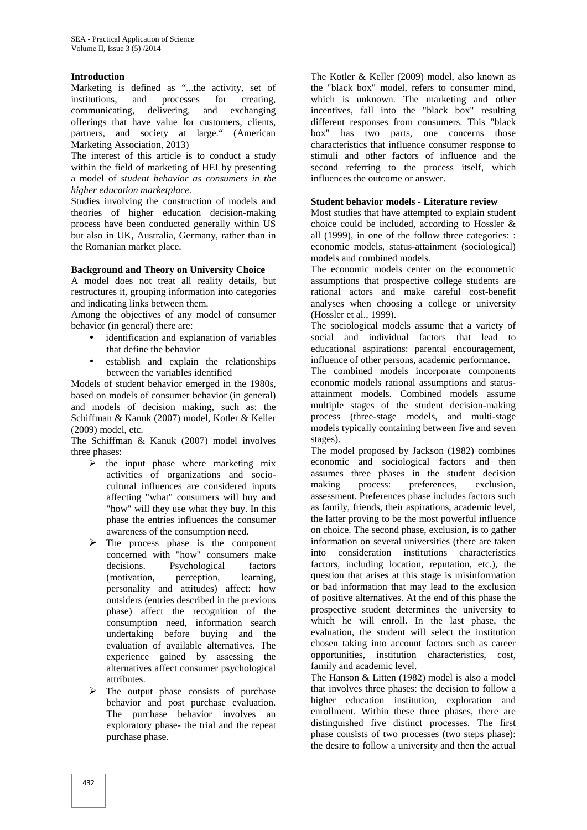## **Introduction**

Marketing is defined as "...the activity, set of institutions, and processes for creating, communicating, delivering, and exchanging offerings that have value for customers, clients, partners, and society at large." (American Marketing Association, 2013)

The interest of this article is to conduct a study within the field of marketing of HEI by presenting a model of *student behavior as consumers in the higher education marketplace.*

Studies involving the construction of models and theories of higher education decision-making process have been conducted generally within US but also in UK, Australia, Germany, rather than in the Romanian market place.

#### **Background and Theory on University Choice**

A model does not treat all reality details, but restructures it, grouping information into categories and indicating links between them.

Among the objectives of any model of consumer behavior (in general) there are:

- identification and explanation of variables that define the behavior
- establish and explain the relationships between the variables identified

Models of student behavior emerged in the 1980s, based on models of consumer behavior (in general) and models of decision making, such as: the Schiffman & Kanuk (2007) model, Kotler & Keller (2009) model, etc.

The Schiffman & Kanuk (2007) model involves three phases:

- $\triangleright$  the input phase where marketing mix activities of organizations and socio cultural influences are considered inputs affecting "what" consumers will buy and "how" will they use what they buy. In this phase the entries influences the consumer awareness of the consumption need.
- $\triangleright$  The process phase is the component concerned with "how" consumers make decisions. Psychological factors (motivation, perception, learning, personality and attitudes) affect: how outsiders (entries described in the previous phase) affect the recognition of the consumption need, information search undertaking before buying and the evaluation of available alternatives. The experience gained by assessing the alternatives affect consumer psychological attributes.
- $\triangleright$  The output phase consists of purchase behavior and post purchase evaluation. The purchase behavior involves an exploratory phase- the trial and the repeat purchase phase.

The Kotler & Keller (2009) model, also known as the "black box" model, refers to consumer mind, which is unknown. The marketing and other incentives, fall into the "black box" resulting different responses from consumers. This "black box" has two parts, one concerns those characteristics that influence consumer response to stimuli and other factors of influence and the second referring to the process itself, which influences the outcome or answer.

#### **Student behavior models - Literature review**

Most studies that have attempted to explain student choice could be included, according to Hossler & all (1999), in one of the follow three categories: : economic models, status-attainment (sociological) models and combined models.

The economic models center on the econometric assumptions that prospective college students are rational actors and make careful cost-benefit analyses when choosing a college or university (Hossler et al., 1999).

The sociological models assume that a variety of social and individual factors that lead to educational aspirations: parental encouragement, influence of other persons, academic performance.

The combined models incorporate components economic models rational assumptions and status attainment models. Combined models assume multiple stages of the student decision-making process (three-stage models, and multi-stage models typically containing between five and seven stages).

The model proposed by Jackson (1982) combines economic and sociological factors and then assumes three phases in the student decision making process: preferences, exclusion, assessment. Preferences phase includes factors such as family, friends, their aspirations, academic level, the latter proving to be the most powerful influence on choice. The second phase, exclusion, is to gather information on several universities (there are taken into consideration institutions characteristics factors, including location, reputation, etc.), the question that arises at this stage is misinformation or bad information that may lead to the exclusion of positive alternatives. At the end of this phase the prospective student determines the university to which he will enroll. In the last phase, the evaluation, the student will select the institution chosen taking into account factors such as career opportunities, institution characteristics, cost, family and academic level.

The Hanson & Litten (1982) model is also a model that involves three phases: the decision to follow a higher education institution, exploration and enrollment. Within these three phases, there are distinguished five distinct processes. The first phase consists of two processes (two steps phase): the desire to follow a university and then the actual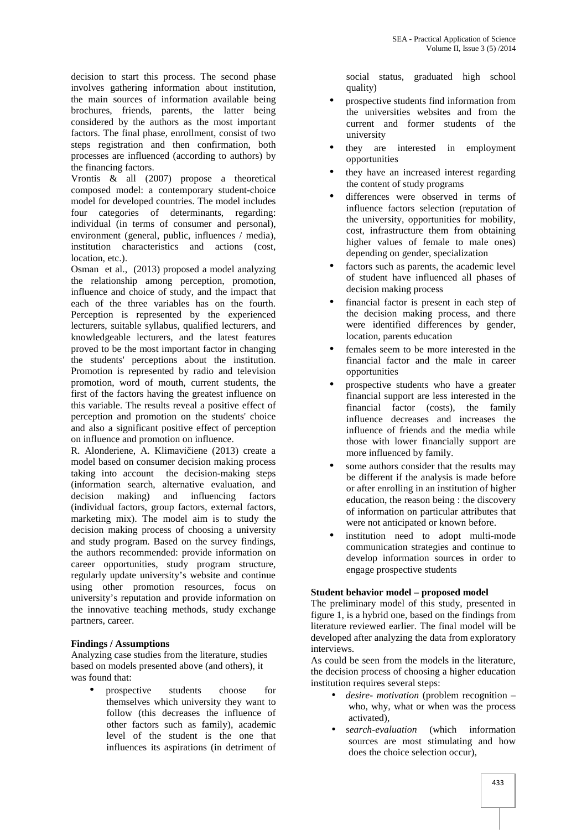decision to start this process. The second phase involves gathering information about institution, the main sources of information available being brochures, friends, parents, the latter being considered by the authors as the most important factors. The final phase, enrollment, consist of two steps registration and then confirmation, both processes are influenced (according to authors) by the financing factors.

Vrontis  $\&$  all (2007) propose a theoretical composed model: a contemporary student-choice model for developed countries. The model includes four categories of determinants, regarding: individual (in terms of consumer and personal), environment (general, public, influences / media), institution characteristics and actions (cost, location, etc.).

Osman et al., (2013) proposed a model analyzing the relationship among perception, promotion, influence and choice of study, and the impact that each of the three variables has on the fourth. Perception is represented by the experienced lecturers, suitable syllabus, qualified lecturers, and knowledgeable lecturers, and the latest features proved to be the most important factor in changing the students' perceptions about the institution. Promotion is represented by radio and television promotion, word of mouth, current students, the first of the factors having the greatest influence on this variable. The results reveal a positive effect of perception and promotion on the students' choice and also a significant positive effect of perception on influence and promotion on influence.

R. Alonderiene, A. Klimavi iene (2013) create a model based on consumer decision making process taking into account the decision-making steps (information search, alternative evaluation, and decision making) and influencing factors (individual factors, group factors, external factors, marketing mix). The model aim is to study the decision making process of choosing a university and study program. Based on the survey findings, the authors recommended: provide information on career opportunities, study program structure, regularly update university's website and continue using other promotion resources, focus on university's reputation and provide information on the innovative teaching methods, study exchange partners, career.

# **Findings / Assumptions**

Analyzing case studies from the literature, studies based on models presented above (and others), it was found that:

 prospective students choose for themselves which university they want to follow (this decreases the influence of other factors such as family), academic level of the student is the one that influences its aspirations (in detriment of social status, graduated high school quality)

- prospective students find information from the universities websites and from the current and former students of the university
- they are interested in employment opportunities
- they have an increased interest regarding the content of study programs
- differences were observed in terms of influence factors selection (reputation of the university, opportunities for mobility, cost, infrastructure them from obtaining higher values of female to male ones) depending on gender, specialization
- factors such as parents, the academic level of student have influenced all phases of decision making process
- financial factor is present in each step of the decision making process, and there were identified differences by gender, location, parents education
- females seem to be more interested in the financial factor and the male in career opportunities
- prospective students who have a greater financial support are less interested in the financial factor (costs), the family influence decreases and increases the influence of friends and the media while those with lower financially support are more influenced by family.
- some authors consider that the results may be different if the analysis is made before or after enrolling in an institution of higher education, the reason being : the discovery of information on particular attributes that were not anticipated or known before.
- institution need to adopt multi-mode communication strategies and continue to develop information sources in order to engage prospective students

## **Student behavior model – proposed model**

The preliminary model of this study, presented in figure 1, is a hybrid one, based on the findings from literature reviewed earlier. The final model will be developed after analyzing the data from exploratory interviews.

As could be seen from the models in the literature, the decision process of choosing a higher education institution requires several steps:

- *desire- motivation* (problem recognition who, why, what or when was the process activated),
- *search-evaluation* (which information sources are most stimulating and how does the choice selection occur),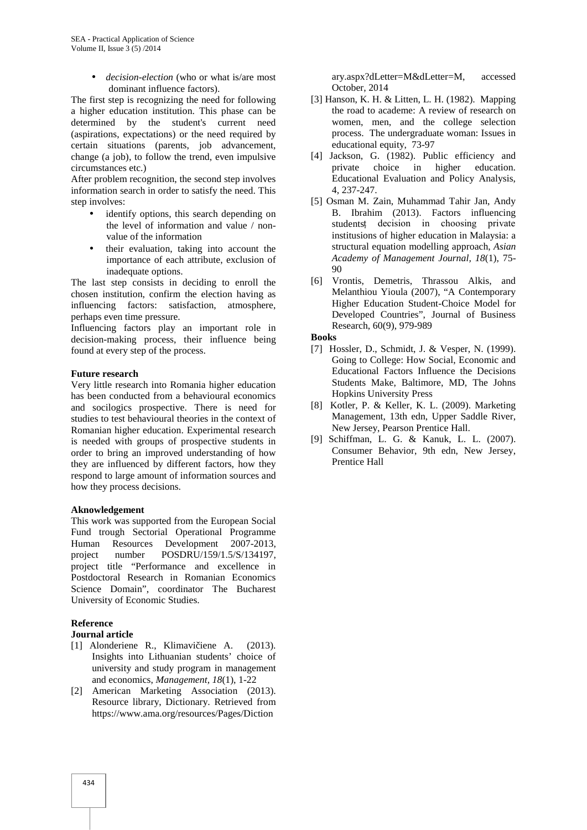*decision-election* (who or what is/are most dominant influence factors).

The first step is recognizing the need for following a higher education institution. This phase can be determined by the student's current need (aspirations, expectations) or the need required by certain situations (parents, job advancement, change (a job), to follow the trend, even impulsive circumstances etc.)

After problem recognition, the second step involves information search in order to satisfy the need. This step involves:

- identify options, this search depending on the level of information and value / non value of the information
- their evaluation, taking into account the importance of each attribute, exclusion of inadequate options.

The last step consists in deciding to enroll the chosen institution, confirm the election having as influencing factors: satisfaction, atmosphere, perhaps even time pressure.

Influencing factors play an important role in decision-making process, their influence being found at every step of the process.

## **Future research**

Very little research into Romania higher education has been conducted from a behavioural economics and socilogics prospective. There is need for studies to test behavioural theories in the context of Romanian higher education. Experimental research is needed with groups of prospective students in order to bring an improved understanding of how they are influenced by different factors, how they respond to large amount of information sources and how they process decisions.

#### **Aknowledgement**

This work was supported from the European Social Fund trough Sectorial Operational Programme Human Resources Development 2007-2013, project number POSDRU/159/1.5/S/134197, project title "Performance and excellence in Postdoctoral Research in Romanian Economics Science Domain", coordinator The Bucharest University of Economic Studies.

# **Reference**

# **Journal article**

- [1] Alonderiene R., Klimavi iene A. (2013). Insights into Lithuanian students' choice of university and study program in management and economics, *Management, 18*(1), 1-22
- [2] American Marketing Association (2013). Resource library, Dictionary. Retrieved from https://www.ama.org/resources/Pages/Diction

ary.aspx?dLetter=M&dLetter=M, accessed October, 2014

- [3] Hanson, K. H. & Litten, L. H. (1982). Mapping the road to academe: A review of research on women, men, and the college selection process. The undergraduate woman: Issues in educational equity, 73-97
- [4] Jackson, G. (1982). Public efficiency and private choice in higher education. Educational Evaluation and Policy Analysis, 4, 237-247.
- [5] Osman M. Zain, Muhammad Tahir Jan, Andy B. Ibrahim (2013). Factors influencing studentsț decision in choosing private institusions of higher education in Malaysia: a structural equation modelling approach, *Asian Academy of Management Journal, 18*(1), 75- 90
- [6] Vrontis, Demetris, Thrassou Alkis, and Melanthiou Yioula (2007), "A Contemporary Higher Education Student-Choice Model for Developed Countries", Journal of Business Research, 60(9), 979-989

#### **Books**

- [7] Hossler, D., Schmidt, J. & Vesper, N. (1999). Going to College: How Social, Economic and Educational Factors Influence the Decisions Students Make, Baltimore, MD, The Johns Hopkins University Press
- [8] Kotler, P. & Keller, K. L. (2009). Marketing Management, 13th edn, Upper Saddle River, New Jersey, Pearson Prentice Hall.
- [9] Schiffman, L. G. & Kanuk, L. L. (2007). Consumer Behavior, 9th edn, New Jersey, Prentice Hall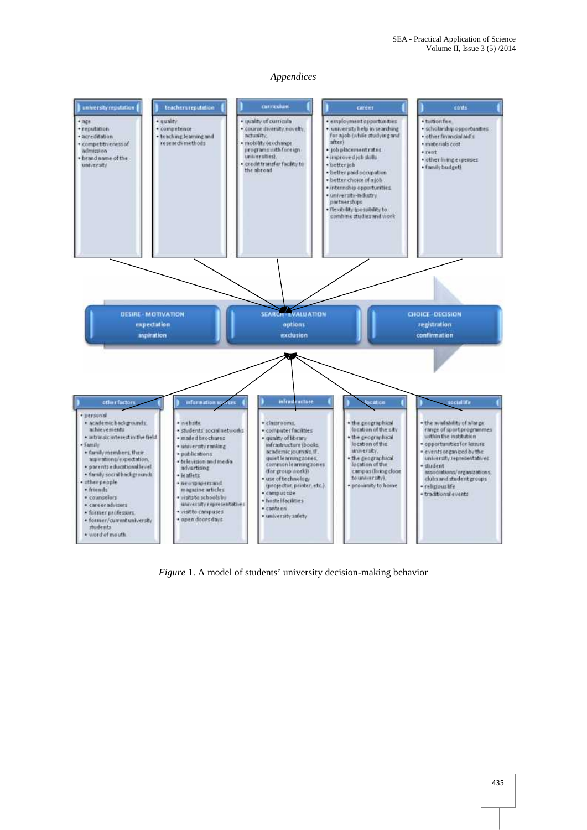#### *Appendices*



*Figure* 1. A model of students' university decision-making behavior